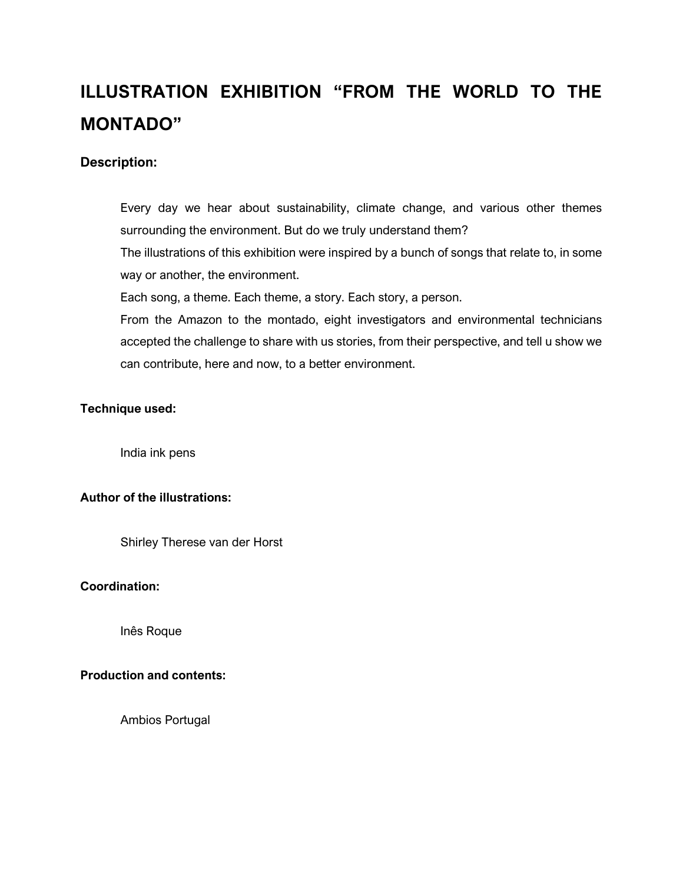# **ILLUSTRATION EXHIBITION "FROM THE WORLD TO THE MONTADO"**

## **Description:**

Every day we hear about sustainability, climate change, and various other themes surrounding the environment. But do we truly understand them? The illustrations of this exhibition were inspired by a bunch of songs that relate to, in some way or another, the environment. Each song, a theme. Each theme, a story. Each story, a person. From the Amazon to the montado, eight investigators and environmental technicians accepted the challenge to share with us stories, from their perspective, and tell u show we can contribute, here and now, to a better environment.

#### **Technique used:**

India ink pens

# **Author of the illustrations:**

Shirley Therese van der Horst

#### **Coordination:**

Inês Roque

### **Production and contents:**

Ambios Portugal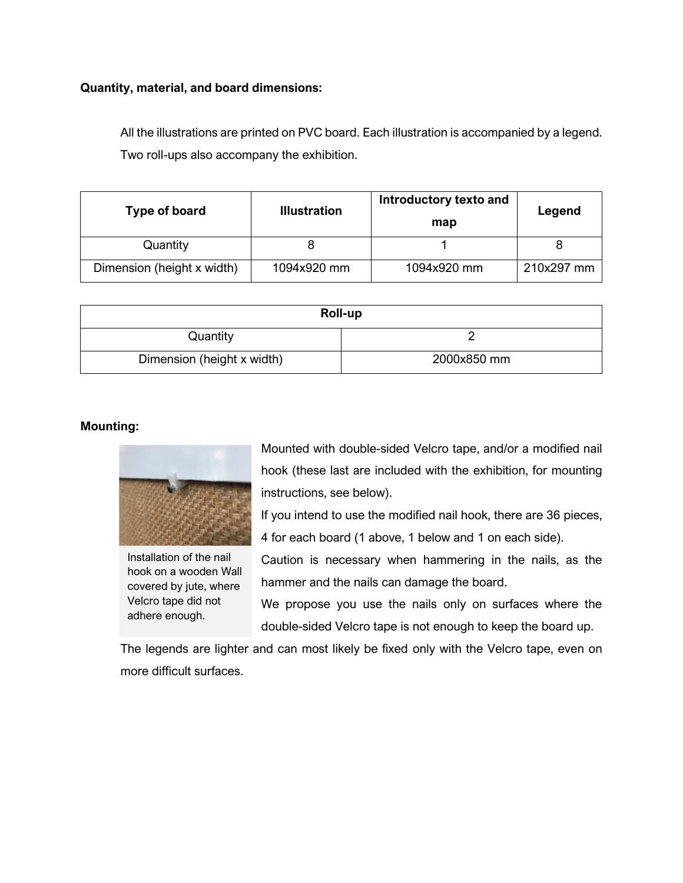#### **Quantity, material, and board dimensions:**

All the illustrations are printed on PVC board. Each illustration is accompanied by a legend. Two roll-ups also accompany the exhibition.

| Type of board              | <b>Illustration</b> | Introductory texto and<br>map | Legend     |
|----------------------------|---------------------|-------------------------------|------------|
| Quantity                   |                     |                               |            |
| Dimension (height x width) | 1094x920 mm         | 1094x920 mm                   | 210x297 mm |

| Roll-up                    |             |  |
|----------------------------|-------------|--|
| Quantity                   |             |  |
| Dimension (height x width) | 2000x850 mm |  |

## **Mounting:**



Installation of the nail hook on a wooden Wall covered by jute, where Velcro tape did not adhere enough.

Mounted with double-sided Velcro tape, and/or a modified nail hook (these last are included with the exhibition, for mounting instructions, see below).

If you intend to use the modified nail hook, there are 36 pieces, 4 for each board (1 above, 1 below and 1 on each side).

Caution is necessary when hammering in the nails, as the hammer and the nails can damage the board.

We propose you use the nails only on surfaces where the double-sided Velcro tape is not enough to keep the board up.

The legends are lighter and can most likely be fixed only with the Velcro tape, even on more difficult surfaces.